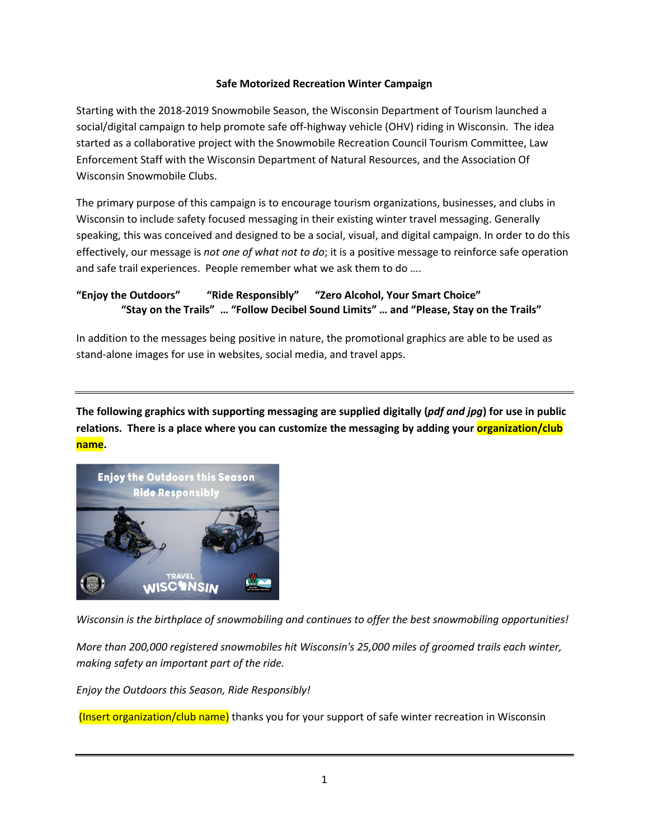## **Safe Motorized Recreation Winter Campaign**

Starting with the 2018-2019 Snowmobile Season, the Wisconsin Department of Tourism launched a social/digital campaign to help promote safe off-highway vehicle (OHV) riding in Wisconsin. The idea started as a collaborative project with the Snowmobile Recreation Council Tourism Committee, Law Enforcement Staff with the Wisconsin Department of Natural Resources, and the Association Of Wisconsin Snowmobile Clubs.

The primary purpose of this campaign is to encourage tourism organizations, businesses, and clubs in Wisconsin to include safety focused messaging in their existing winter travel messaging. Generally speaking, this was conceived and designed to be a social, visual, and digital campaign. In order to do this effectively, our message is *not one of what not to do*; it is a positive message to reinforce safe operation and safe trail experiences. People remember what we ask them to do ….

## **"Enjoy the Outdoors" "Ride Responsibly" "Zero Alcohol, Your Smart Choice" "Stay on the Trails" … "Follow Decibel Sound Limits" … and "Please, Stay on the Trails"**

In addition to the messages being positive in nature, the promotional graphics are able to be used as stand-alone images for use in websites, social media, and travel apps.

**The following graphics with supporting messaging are supplied digitally (***pdf and jpg***) for use in public**  relations. There is a place where you can customize the messaging by adding your **organization/club name.**



*Wisconsin is the birthplace of snowmobiling and continues to offer the best snowmobiling opportunities!*

*More than 200,000 registered snowmobiles hit Wisconsin's 25,000 miles of groomed trails each winter, making safety an important part of the ride.*

*Enjoy the Outdoors this Season, Ride Responsibly!* 

(Insert organization/club name) thanks you for your support of safe winter recreation in Wisconsin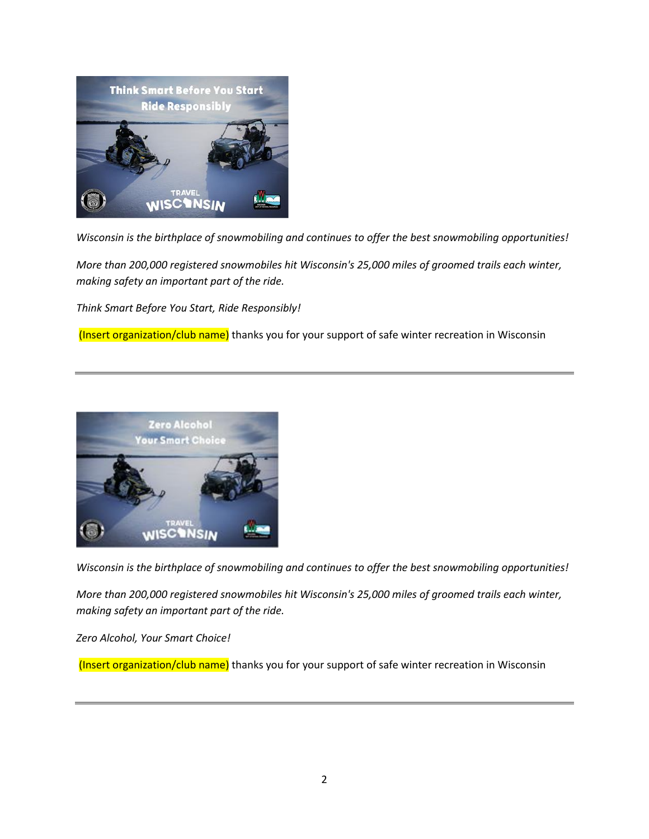

*Wisconsin is the birthplace of snowmobiling and continues to offer the best snowmobiling opportunities!*

*More than 200,000 registered snowmobiles hit Wisconsin's 25,000 miles of groomed trails each winter, making safety an important part of the ride.*

*Think Smart Before You Start, Ride Responsibly!* 

(Insert organization/club name) thanks you for your support of safe winter recreation in Wisconsin



*Wisconsin is the birthplace of snowmobiling and continues to offer the best snowmobiling opportunities!*

*More than 200,000 registered snowmobiles hit Wisconsin's 25,000 miles of groomed trails each winter, making safety an important part of the ride.*

*Zero Alcohol, Your Smart Choice!* 

(Insert organization/club name) thanks you for your support of safe winter recreation in Wisconsin